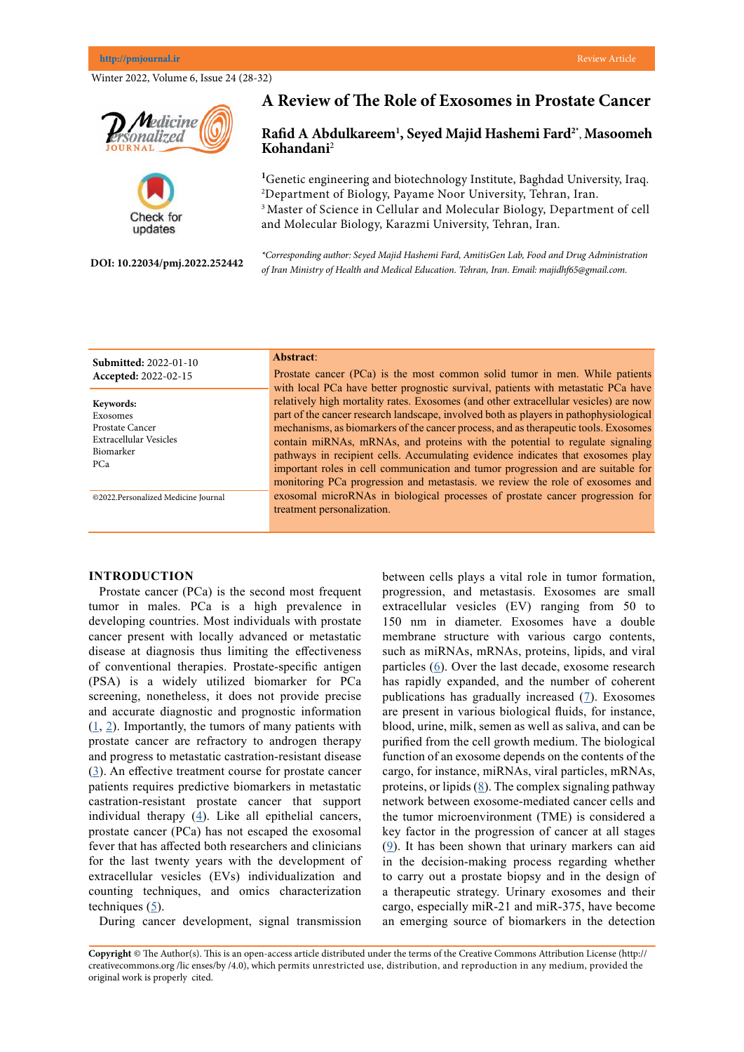Winter 2022, Volume 6, Issue 24 (28-32)





**DOI: 10.22034/pmj.2022.252442**

**Submitted:** 2022-01-10 **Accepted:** 2022-02-15

**Keywords:** Exosomes Prostate Cancer Extracellular Vesicles Biomarker PCa

# **A Review of The Role of Exosomes in Prostate Cancer**

## **Rafid A Abdulkareem1 , Seyed Majid Hashemi Fard2\*** , **Masoomeh Kohandani**<sup>2</sup>

<sup>1</sup>Genetic engineering and biotechnology Institute, Baghdad University, Iraq. 2 Department of Biology, Payame Noor University, Tehran, Iran. <sup>3</sup> Master of Science in Cellular and Molecular Biology, Department of cell and Molecular Biology, Karazmi University, Tehran, Iran.

*\*Corresponding author: Seyed Majid Hashemi Fard, AmitisGen Lab, Food and Drug Administration of Iran Ministry of Health and Medical Education. Tehran, Iran. Email: majidhf65@gmail.com.*

## **Abstract**:

Prostate cancer (PCa) is the most common solid tumor in men. While patients with local PCa have better prognostic survival, patients with metastatic PCa have relatively high mortality rates. Exosomes (and other extracellular vesicles) are now part of the cancer research landscape, involved both as players in pathophysiological mechanisms, as biomarkers of the cancer process, and as therapeutic tools. Exosomes contain miRNAs, mRNAs, and proteins with the potential to regulate signaling pathways in recipient cells. Accumulating evidence indicates that exosomes play important roles in cell communication and tumor progression and are suitable for monitoring PCa progression and metastasis. we review the role of exosomes and exosomal microRNAs in biological processes of prostate cancer progression for treatment personalization.

#### **INTRODUCTION**

©2022.Personalized Medicine Journal

Prostate cancer (PCa) is the second most frequent tumor in males. PCa is a high prevalence in developing countries. Most individuals with prostate cancer present with locally advanced or metastatic disease at diagnosis thus limiting the effectiveness of conventional therapies. Prostate-specific antigen (PSA) is a widely utilized biomarker for PCa screening, nonetheless, it does not provide precise and accurate diagnostic and prognostic information  $(1, 2)$  $(1, 2)$  $(1, 2)$  $(1, 2)$ . Importantly, the tumors of many patients with prostate cancer are refractory to androgen therapy and progress to metastatic castration-resistant disease [\(3](Ye Y, Deng M, Zhao D, Jiang L, Chen D, Wu Z, Wang Y, Li Z, Yang Z, Li J, Zhou F. Prostate cryoablation combined with androgen deprivation therapy for newly diagnosed metastatic prostate cancer: a propensity score-based study. Prostate cancer and prostatic diseases. 2021 Sep;24(3):837-44.)). An effective treatment course for prostate cancer patients requires predictive biomarkers in metastatic castration-resistant prostate cancer that support individual therapy ([4\)](http://Ingrosso G, Detti B, Scartoni D, Lancia A, Giacomelli I, Baki M, Carta G, Livi L, Santoni R. Current therapeutic options in metastatic castration-resistant prostate cancer. InSeminars in Oncology 2018 Oct 1 (Vol. 45, No. 5-6, pp. 303-315). WB Saunders.
). Like all epithelial cancers, prostate cancer (PCa) has not escaped the exosomal fever that has affected both researchers and clinicians for the last twenty years with the development of extracellular vesicles (EVs) individualization and counting techniques, and omics characterization techniques  $(5)$  $(5)$ .

During cancer development, signal transmission

between cells plays a vital role in tumor formation, progression, and metastasis. Exosomes are small extracellular vesicles (EV) ranging from 50 to 150 nm in diameter. Exosomes have a double membrane structure with various cargo contents, such as miRNAs, mRNAs, proteins, lipids, and viral particles [\(6](Fujita K, Nonomura N. Urinary biomarkers of prostate cancer. International Journal of Urology. 2018 Sep;25(9):770-9.
)). Over the last decade, exosome research has rapidly expanded, and the number of coherent publications has gradually increased  $(7)$  $(7)$ . Exosomes are present in various biological fluids, for instance, blood, urine, milk, semen as well as saliva, and can be purified from the cell growth medium. The biological function of an exosome depends on the contents of the cargo, for instance, miRNAs, viral particles, mRNAs, proteins, or lipids  $(8)$  $(8)$ . The complex signaling pathway network between exosome-mediated cancer cells and the tumor microenvironment (TME) is considered a key factor in the progression of cancer at all stages ([9\)](Fujita Y, Yoshioka Y, Ochiya T. Extracellular vesicle transfer of cancer pathogenic components. Cancer science. 2016 Apr;107(4):385-90.
). It has been shown that urinary markers can aid in the decision-making process regarding whether to carry out a prostate biopsy and in the design of a therapeutic strategy. Urinary exosomes and their cargo, especially miR-21 and miR-375, have become an emerging source of biomarkers in the detection

**Copyright** © The Author(s). This is an open-access article distributed under the terms of the Creative Commons Attribution License (http:// creativecommons.org /lic enses/by /4.0), which permits unrestricted use, distribution, and reproduction in any medium, provided the original work is properly cited.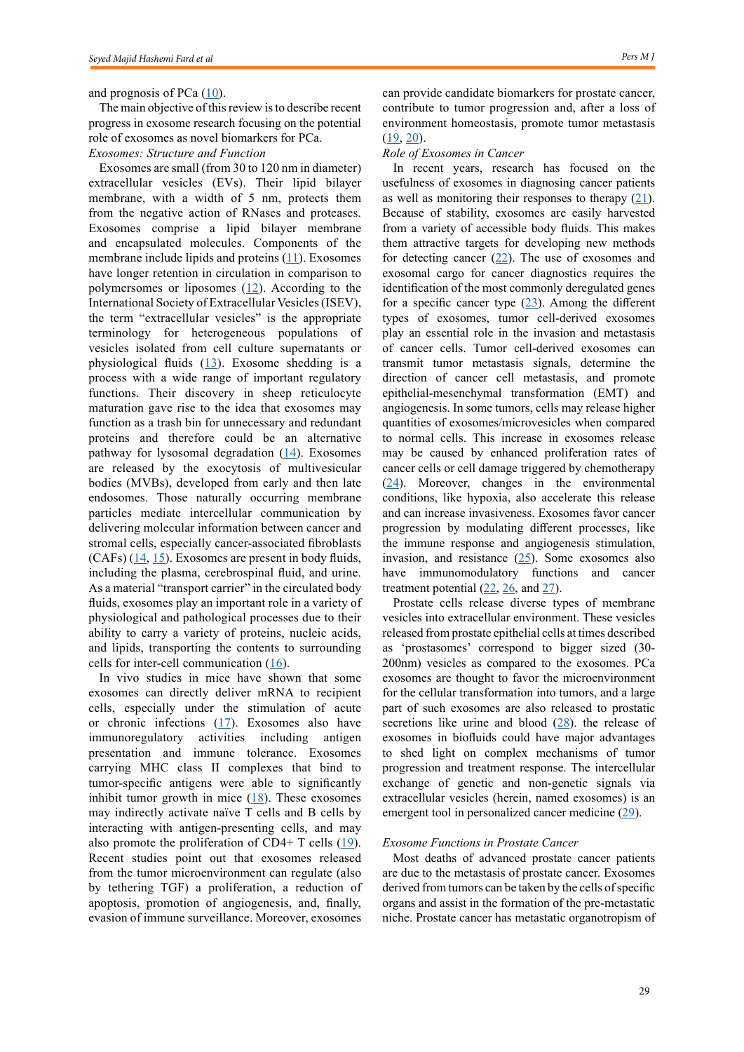## and prognosis of PCa ([10\)](Kumar S, Lombard DB. Functions of the sirtuin deacylase SIRT5 in normal physiology and pathobiology. Critical reviews in biochemistry and molecular biology. 2018 May 4;53(3):311-34.
).

The main objective of this review is to describe recent progress in exosome research focusing on the potential role of exosomes as novel biomarkers for PCa. *Exosomes: Structure and Function* 

Exosomes are small (from 30 to 120 nm in diameter) extracellular vesicles (EVs). Their lipid bilayer membrane, with a width of 5 nm, protects them from the negative action of RNases and proteases. Exosomes comprise a lipid bilayer membrane and encapsulated molecules. Components of the membrane include lipids and proteins  $(11)$  $(11)$ . Exosomes have longer retention in circulation in comparison to polymersomes or liposomes  $(12)$  $(12)$  $(12)$ . According to the International Society of Extracellular Vesicles (ISEV), the term "extracellular vesicles" is the appropriate terminology for heterogeneous populations of vesicles isolated from cell culture supernatants or physiological fluids  $(13)$  $(13)$ . Exosome shedding is a process with a wide range of important regulatory functions. Their discovery in sheep reticulocyte maturation gave rise to the idea that exosomes may function as a trash bin for unnecessary and redundant proteins and therefore could be an alternative pathway for lysosomal degradation  $(14)$  $(14)$  $(14)$ . Exosomes are released by the exocytosis of multivesicular bodies (MVBs), developed from early and then late endosomes. Those naturally occurring membrane particles mediate intercellular communication by delivering molecular information between cancer and stromal cells, especially cancer-associated fibroblasts (CAFs) ([14](Guo W, Gao Y, Li N, Shao F, Wang C, Wang P, Yang Z, Li R, He J. Exosomes: New players in cancer. Oncology reports. 2017 Aug 1;38(2):665-75.
), [15](Witwer KW, Buzás EI, Bemis LT, Bora A, Lässer C, Lötvall J, Nolte-‘t Hoen EN, Piper MG, Sivaraman S, Skog J, Théry C. Standardization of sample collection, isolation and analysis methods in extracellular vesicle research. Journal of extracellular vesicles. 2013 Jan 1;2(1):20360.
)). Exosomes are present in body fluids, including the plasma, cerebrospinal fluid, and urine. As a material "transport carrier" in the circulated body fluids, exosomes play an important role in a variety of physiological and pathological processes due to their ability to carry a variety of proteins, nucleic acids, and lipids, transporting the contents to surrounding cells for inter-cell communication ([16](Théry C, Zitvogel L, Amigorena S. Exosomes: composition, biogenesis and function. Nature reviews immunology. 2002 Aug;2(8):569-79.
)).

In vivo studies in mice have shown that some exosomes can directly deliver mRNA to recipient cells, especially under the stimulation of acute or chronic infections  $(17)$  $(17)$ . Exosomes also have immunoregulatory activities including antigen presentation and immune tolerance. Exosomes carrying MHC class II complexes that bind to tumor-specific antigens were able to significantly inhibit tumor growth in mice  $(18)$  $(18)$  $(18)$ . These exosomes may indirectly activate naïve T cells and B cells by interacting with antigen-presenting cells, and may also promote the proliferation of CD4+ T cells ([19](Lynch S, Santos SG, Campbell EC, Nimmo AM, Botting C, Prescott A, Antoniou AN, Powis SJ. Novel MHC class I structures on exosomes. The Journal of Immunology. 2009 Aug 1;183(3):1884-91.)). Recent studies point out that exosomes released from the tumor microenvironment can regulate (also by tethering TGF) a proliferation, a reduction of apoptosis, promotion of angiogenesis, and, finally, evasion of immune surveillance. Moreover, exosomes

can provide candidate biomarkers for prostate cancer, contribute to tumor progression and, after a loss of environment homeostasis, promote tumor metastasis  $(19, 20)$  $(19, 20)$  $(19, 20)$  $(19, 20)$  $(19, 20)$ .

#### *Role of Exosomes in Cancer*

In recent years, research has focused on the usefulness of exosomes in diagnosing cancer patients as well as monitoring their responses to therapy  $(21)$  $(21)$ . Because of stability, exosomes are easily harvested from a variety of accessible body fluids. This makes them attractive targets for developing new methods for detecting cancer  $(22)$  $(22)$  $(22)$ . The use of exosomes and exosomal cargo for cancer diagnostics requires the identification of the most commonly deregulated genes for a specific cancer type  $(23)$  $(23)$  $(23)$ . Among the different types of exosomes, tumor cell-derived exosomes play an essential role in the invasion and metastasis of cancer cells. Tumor cell-derived exosomes can transmit tumor metastasis signals, determine the direction of cancer cell metastasis, and promote epithelial-mesenchymal transformation (EMT) and angiogenesis. In some tumors, cells may release higher quantities of exosomes/microvesicles when compared to normal cells. This increase in exosomes release may be caused by enhanced proliferation rates of cancer cells or cell damage triggered by chemotherapy  $(24)$  $(24)$ . Moreover, changes in the environmental conditions, like hypoxia, also accelerate this release and can increase invasiveness. Exosomes favor cancer progression by modulating different processes, like the immune response and angiogenesis stimulation, invasion, and resistance  $(25)$  $(25)$ . Some exosomes also have immunomodulatory functions and cancer treatment potential  $(22, 26, 20)$  $(22, 26, 20)$  $(22, 26, 20)$  $(22, 26, 20)$ .

Prostate cells release diverse types of membrane vesicles into extracellular environment. These vesicles released from prostate epithelial cells at times described as 'prostasomes' correspond to bigger sized (30- 200nm) vesicles as compared to the exosomes. PCa exosomes are thought to favor the microenvironment for the cellular transformation into tumors, and a large part of such exosomes are also released to prostatic secretions like urine and blood  $(28)$  $(28)$ . the release of exosomes in biofluids could have major advantages to shed light on complex mechanisms of tumor progression and treatment response. The intercellular exchange of genetic and non-genetic signals via extracellular vesicles (herein, named exosomes) is an emergent tool in personalized cancer medicine [\(29](Kharmate G, Hosseini-Beheshti E, Caradec J, Chin MY, Tomlinson Guns ES. Epidermal growth factor receptor in prostate cancer derived exosomes. PLoS One. 2016 May 6;11(5):e0154967.
)).

## *Exosome Functions in Prostate Cancer*

Most deaths of advanced prostate cancer patients are due to the metastasis of prostate cancer. Exosomes derived from tumors can be taken by the cells of specific organs and assist in the formation of the pre-metastatic niche. Prostate cancer has metastatic organotropism of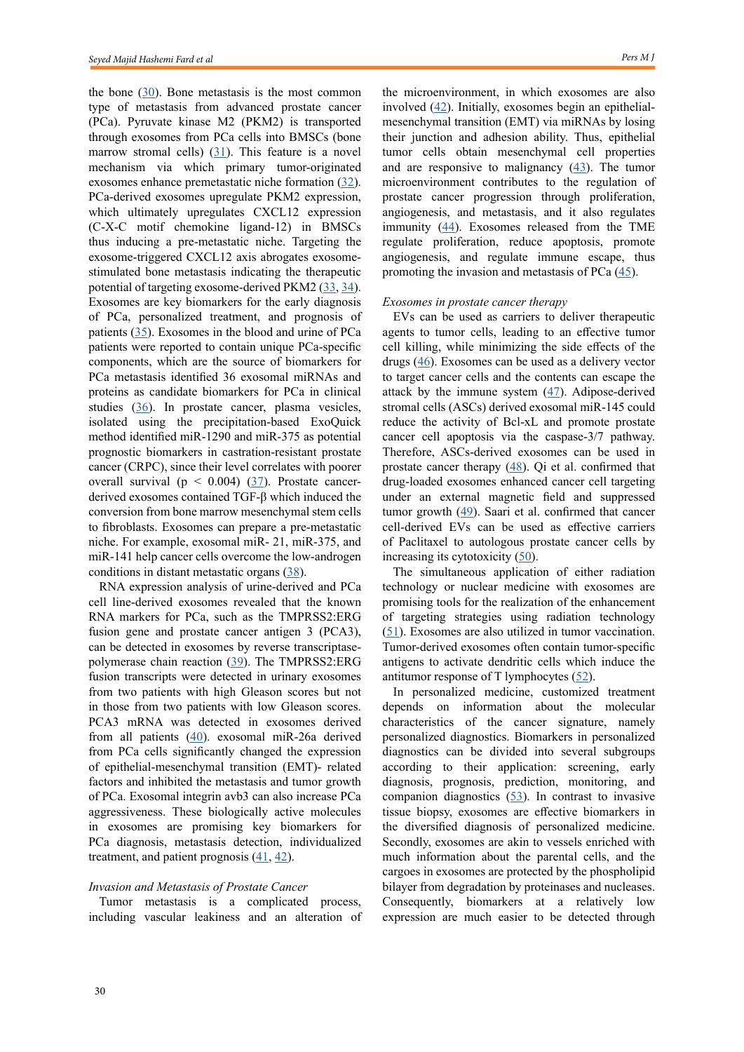the bone  $(30)$  $(30)$ . Bone metastasis is the most common type of metastasis from advanced prostate cancer (PCa). Pyruvate kinase M2 (PKM2) is transported through exosomes from PCa cells into BMSCs (bone marrow stromal cells)  $(31)$  $(31)$ . This feature is a novel mechanism via which primary tumor-originated exosomes enhance premetastatic niche formation [\(32](Wang X, Wang X, Zhu Z, Li W, Yu G, Jia Z, Wang X. Prostate carcinoma cell-derived exosomal MicroRNA-26a modulates the metastasis and tumor growth of prostate carcinoma. Biomedicine & Pharmacotherapy. 2019 Sep 1;117:109109.
)). PCa-derived exosomes upregulate PKM2 expression, which ultimately upregulates CXCL12 expression (C-X-C motif chemokine ligand-12) in BMSCs thus inducing a pre-metastatic niche. Targeting the exosome-triggered CXCL12 axis abrogates exosomestimulated bone metastasis indicating the therapeutic potential of targeting exosome-derived PKM2 ([33,](Krishn SR, Singh A, Bowler N, Duffy AN, Friedman A, Fedele C, Kurtoglu S, Tripathi SK, Wang K, Hawkins A, Sayeed A. Prostate cancer sheds the αvβ3 integrin in vivo through exosomes. Matrix Biology. 2019 Apr 1;77:41-57.
) [34](Dai J, Escara-Wilke J, Keller JM, Jung Y, Taichman RS, Pienta KJ, Keller ET. Primary prostate cancer educates bone stroma through exosomal pyruvate kinase M2 to promote bone metastasis. Journal of Experimental Medicine. 2019 Dec 2;216(12):2883-99.
)). Exosomes are key biomarkers for the early diagnosis of PCa, personalized treatment, and prognosis of patients ([35\)](Osaki M, Okada F. Exosomes and their role in cancer progression. Yonago acta medica. 2019;62(2):182-90.
). Exosomes in the blood and urine of PCa patients were reported to contain unique PCa-specific components, which are the source of biomarkers for PCa metastasis identified 36 exosomal miRNAs and proteins as candidate biomarkers for PCa in clinical studies ([36\)](Liu CM, Hsieh CL, Shen CN, Lin CC, Shigemura K, Sung SY. Exosomes from the tumor microenvironment as reciprocal regulators that enhance prostate cancer progression. International Journal of Urology. 2016 Sep;23(9):734-44.
). In prostate cancer, plasma vesicles, isolated using the precipitation-based ExoQuick method identified miR-1290 and miR-375 as potential prognostic biomarkers in castration-resistant prostate cancer (CRPC), since their level correlates with poorer overall survival ( $p < 0.004$ ) [\(37](Huang X, Yuan T, Tschannen M, Sun Z, Jacob H, Du M, Liang M, Dittmar RL, Liu Y, Liang M, Kohli M. Characterization of human plasma-derived exosomal RNAs by deep sequencing. BMC genomics. 2013 Dec;14(1):1-4.
)). Prostate cancerderived exosomes contained TGF-β which induced the conversion from bone marrow mesenchymal stem cells to fibroblasts. Exosomes can prepare a pre-metastatic niche. For example, exosomal miR- 21, miR-375, and miR-141 help cancer cells overcome the low-androgen conditions in distant metastatic organs ([38\)](http://Steinbichler TB, Dudás J, Riechelmann H, Skvortsova II. The role of exosomes in cancer metastasis. InSeminars in cancer biology 2017 Jun 1 (Vol. 44, pp. 170-181). Academic Press.
).

RNA expression analysis of urine-derived and PCa cell line-derived exosomes revealed that the known RNA markers for PCa, such as the TMPRSS2:ERG fusion gene and prostate cancer antigen 3 (PCA3), can be detected in exosomes by reverse transcriptasepolymerase chain reaction ([39](Sánchez CA, Andahur EI, Valenzuela R, Castellón EA, Fullá JA, Ramos CG, Triviño JC. Exosomes from bulk and stem cells from human prostate cancer have a differential microRNA content that contributes cooperatively over local and pre-metastatic niche. Oncotarget. 2016 Jan 26;7(4):3993.
)). The TMPRSS2:ERG fusion transcripts were detected in urinary exosomes from two patients with high Gleason scores but not in those from two patients with low Gleason scores. PCA3 mRNA was detected in exosomes derived from all patients [\(40](Lorenc T, Klimczyk K, Michalczewska I, Słomka M, Kubiak-Tomaszewska G, Olejarz W. Exosomes in prostate cancer diagnosis, prognosis and therapy. International Journal of Molecular Sciences. 2020 Jan;21(6):2118.
)). exosomal miR-26a derived from PCa cells significantly changed the expression of epithelial-mesenchymal transition (EMT)- related factors and inhibited the metastasis and tumor growth of PCa. Exosomal integrin avb3 can also increase PCa aggressiveness. These biologically active molecules in exosomes are promising key biomarkers for PCa diagnosis, metastasis detection, individualized treatment, and patient prognosis  $(41, 42)$  $(41, 42)$  $(41, 42)$ .

## *Invasion and Metastasis of Prostate Cancer*

Tumor metastasis is a complicated process, including vascular leakiness and an alteration of the microenvironment, in which exosomes are also involved  $(42)$  $(42)$ . Initially, exosomes begin an epithelialmesenchymal transition (EMT) via miRNAs by losing their junction and adhesion ability. Thus, epithelial tumor cells obtain mesenchymal cell properties and are responsive to malignancy  $(43)$  $(43)$ . The tumor microenvironment contributes to the regulation of prostate cancer progression through proliferation, angiogenesis, and metastasis, and it also regulates immunity ([44](Saber SH, Ali HE, Gaballa R, Gaballah M, Ali HI, Zerfaoui M, Abd Elmageed ZY. Exosomes are the driving force in preparing the soil for the metastatic seeds: lessons from the prostate cancer. Cells. 2020 Mar;9(3):564.
)). Exosomes released from the TME regulate proliferation, reduce apoptosis, promote angiogenesis, and regulate immune escape, thus promoting the invasion and metastasis of PCa  $(45)$  $(45)$ .

#### *Exosomes in prostate cancer therapy*

EVs can be used as carriers to deliver therapeutic agents to tumor cells, leading to an effective tumor cell killing, while minimizing the side effects of the drugs [\(46](Yim N, Ryu SW, Choi K, Lee KR, Lee S, Choi H, Kim J, Shaker MR, Sun W, Park JH, Kim D. Exosome engineering for efficient intracellular delivery of soluble proteins using optically reversible protein–protein interaction module. Nature Communications. 2016 Jul 22;7(1):1-9.
)). Exosomes can be used as a delivery vector to target cancer cells and the contents can escape the attack by the immune system [\(47](akahara K, Ii M, Inamoto T, Nakagawa T, Ibuki N, Yoshikawa Y, Tsujino T, Uchimoto T, Saito K, Takai T, Tanda N. microRNA-145 mediates the inhibitory effect of adipose tissue-derived stromal cells on prostate cancer. Stem cells and development. 2016 Sep 1;25(17):1290-8.
)). Adipose-derived stromal cells (ASCs) derived exosomal miR-145 could reduce the activity of Bcl-xL and promote prostate cancer cell apoptosis via the caspase-3/7 pathway. Therefore, ASCs-derived exosomes can be used in prostate cancer therapy  $(48)$  $(48)$ . Qi et al. confirmed that drug-loaded exosomes enhanced cancer cell targeting under an external magnetic field and suppressed tumor growth  $(49)$  $(49)$  $(49)$ . Saari et al. confirmed that cancer cell-derived EVs can be used as effective carriers of Paclitaxel to autologous prostate cancer cells by increasing its cytotoxicity [\(50](Saari H, Lázaro-Ibáñez E, Viitala T, Vuorimaa-Laukkanen E, Siljander P, Yliperttula M. Microvesicle-and exosome-mediated drug delivery enhances the cytotoxicity of Paclitaxel in autologous prostate cancer cells. Journal of Controlled Release. 2015 Dec 28;220:727-37.
)).

The simultaneous application of either radiation technology or nuclear medicine with exosomes are promising tools for the realization of the enhancement of targeting strategies using radiation technology [\(51](Chaput N, Taïeb J, Schartz N, Flament C, Novault S, André F, Zitvogel L. The potential of exosomes in immunotherapy of cancer. Blood Cells, Molecules, and Diseases. 2005 Sep 1;35(2):111-5.
)). Exosomes are also utilized in tumor vaccination. Tumor-derived exosomes often contain tumor-specific antigens to activate dendritic cells which induce the antitumor response of T lymphocytes  $(52)$  $(52)$  $(52)$ .

In personalized medicine, customized treatment depends on information about the molecular characteristics of the cancer signature, namely personalized diagnostics. Biomarkers in personalized diagnostics can be divided into several subgroups according to their application: screening, early diagnosis, prognosis, prediction, monitoring, and companion diagnostics  $(53)$  $(53)$ . In contrast to invasive tissue biopsy, exosomes are effective biomarkers in the diversified diagnosis of personalized medicine. Secondly, exosomes are akin to vessels enriched with much information about the parental cells, and the cargoes in exosomes are protected by the phospholipid bilayer from degradation by proteinases and nucleases. Consequently, biomarkers at a relatively low expression are much easier to be detected through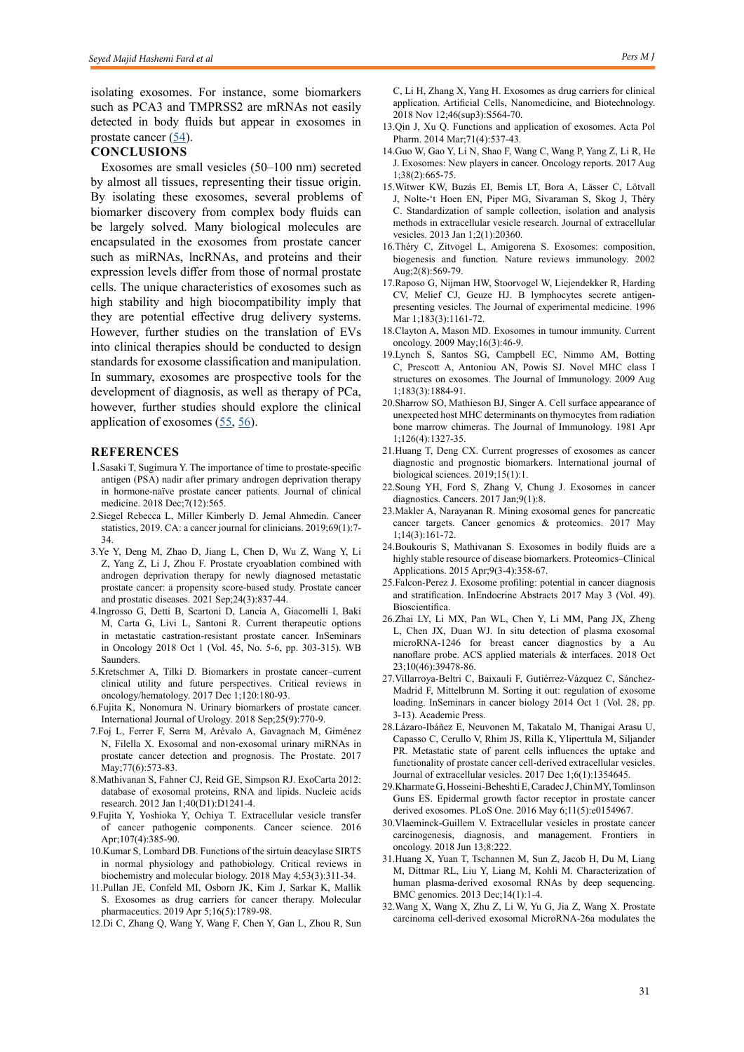isolating exosomes. For instance, some biomarkers such as PCA3 and TMPRSS2 are mRNAs not easily detected in body fluids but appear in exosomes in prostate cancer  $(54)$  $(54)$ .

## **CONCLUSIONS**

Exosomes are small vesicles (50–100 nm) secreted by almost all tissues, representing their tissue origin. By isolating these exosomes, several problems of biomarker discovery from complex body fluids can be largely solved. Many biological molecules are encapsulated in the exosomes from prostate cancer such as miRNAs, lncRNAs, and proteins and their expression levels differ from those of normal prostate cells. The unique characteristics of exosomes such as high stability and high biocompatibility imply that they are potential effective drug delivery systems. However, further studies on the translation of EVs into clinical therapies should be conducted to design standards for exosome classification and manipulation. In summary, exosomes are prospective tools for the development of diagnosis, as well as therapy of PCa, however, further studies should explore the clinical application of exosomes ([55,](Pan J, Ding M, Xu K, Yang C, Mao LJ. Exosomes in diagnosis and therapy of prostate cancer. Oncotarget. 2017 Nov 14;8(57):97693.) [56\)](Duijvesz D, Luider T, Bangma CH, Jenster G. Exosomes as biomarker treasure chests for prostate cancer. European urology. 2011 May 1;59(5):823-31.
).

## **REFERENCES**

- 1.Sasaki T, Sugimura Y. The importance of time to prostate-specific antigen (PSA) nadir after primary androgen deprivation therapy in hormone-naïve prostate cancer patients. Journal of clinical medicine. 2018 Dec;7(12):565.
- 2.Siegel Rebecca L, Miller Kimberly D. Jemal Ahmedin. Cancer statistics, 2019. CA: a cancer journal for clinicians. 2019;69(1):7- 34.
- 3.Ye Y, Deng M, Zhao D, Jiang L, Chen D, Wu Z, Wang Y, Li Z, Yang Z, Li J, Zhou F. Prostate cryoablation combined with androgen deprivation therapy for newly diagnosed metastatic prostate cancer: a propensity score-based study. Prostate cancer and prostatic diseases. 2021 Sep;24(3):837-44.
- 4.Ingrosso G, Detti B, Scartoni D, Lancia A, Giacomelli I, Baki M, Carta G, Livi L, Santoni R. Current therapeutic options in metastatic castration-resistant prostate cancer. InSeminars in Oncology 2018 Oct 1 (Vol. 45, No. 5-6, pp. 303-315). WB Saunders.
- 5.Kretschmer A, Tilki D. Biomarkers in prostate cancer–current clinical utility and future perspectives. Critical reviews in oncology/hematology. 2017 Dec 1;120:180-93.
- 6.Fujita K, Nonomura N. Urinary biomarkers of prostate cancer. International Journal of Urology. 2018 Sep;25(9):770-9.
- 7.Foj L, Ferrer F, Serra M, Arévalo A, Gavagnach M, Giménez N, Filella X. Exosomal and non‐exosomal urinary miRNAs in prostate cancer detection and prognosis. The Prostate. 2017 May; 77(6): 573-83.
- 8.Mathivanan S, Fahner CJ, Reid GE, Simpson RJ. ExoCarta 2012: database of exosomal proteins, RNA and lipids. Nucleic acids research. 2012 Jan 1;40(D1):D1241-4.
- 9.Fujita Y, Yoshioka Y, Ochiya T. Extracellular vesicle transfer of cancer pathogenic components. Cancer science. 2016 Apr;107(4):385-90.
- 10.Kumar S, Lombard DB. Functions of the sirtuin deacylase SIRT5 in normal physiology and pathobiology. Critical reviews in biochemistry and molecular biology. 2018 May 4;53(3):311-34.
- 11.Pullan JE, Confeld MI, Osborn JK, Kim J, Sarkar K, Mallik S. Exosomes as drug carriers for cancer therapy. Molecular pharmaceutics. 2019 Apr 5;16(5):1789-98.
- 12.Di C, Zhang Q, Wang Y, Wang F, Chen Y, Gan L, Zhou R, Sun

C, Li H, Zhang X, Yang H. Exosomes as drug carriers for clinical application. Artificial Cells, Nanomedicine, and Biotechnology. 2018 Nov 12;46(sup3):S564-70.

- 13.Qin J, Xu Q. Functions and application of exosomes. Acta Pol Pharm. 2014 Mar;71(4):537-43.
- 14.Guo W, Gao Y, Li N, Shao F, Wang C, Wang P, Yang Z, Li R, He J. Exosomes: New players in cancer. Oncology reports. 2017 Aug 1;38(2):665-75.
- 15.Witwer KW, Buzás EI, Bemis LT, Bora A, Lässer C, Lötvall J, Nolte-'t Hoen EN, Piper MG, Sivaraman S, Skog J, Théry C. Standardization of sample collection, isolation and analysis methods in extracellular vesicle research. Journal of extracellular vesicles. 2013 Jan 1;2(1):20360.
- 16.Théry C, Zitvogel L, Amigorena S. Exosomes: composition, biogenesis and function. Nature reviews immunology. 2002 Aug;2(8):569-79.
- 17.Raposo G, Nijman HW, Stoorvogel W, Liejendekker R, Harding CV, Melief CJ, Geuze HJ. B lymphocytes secrete antigenpresenting vesicles. The Journal of experimental medicine. 1996 Mar 1;183(3):1161-72
- 18.Clayton A, Mason MD. Exosomes in tumour immunity. Current oncology. 2009 May;16(3):46-9.
- 19.Lynch S, Santos SG, Campbell EC, Nimmo AM, Botting C, Prescott A, Antoniou AN, Powis SJ. Novel MHC class I structures on exosomes. The Journal of Immunology. 2009 Aug 1;183(3):1884-91.
- 20.Sharrow SO, Mathieson BJ, Singer A. Cell surface appearance of unexpected host MHC determinants on thymocytes from radiation bone marrow chimeras. The Journal of Immunology. 1981 Apr 1;126(4):1327-35.
- 21.Huang T, Deng CX. Current progresses of exosomes as cancer diagnostic and prognostic biomarkers. International journal of biological sciences. 2019;15(1):1.
- 22.Soung YH, Ford S, Zhang V, Chung J. Exosomes in cancer diagnostics. Cancers. 2017 Jan;9(1):8.
- 23.Makler A, Narayanan R. Mining exosomal genes for pancreatic cancer targets. Cancer genomics & proteomics. 2017 May 1;14(3):161-72.
- 24.Boukouris S, Mathivanan S. Exosomes in bodily fluids are a highly stable resource of disease biomarkers. Proteomics–Clinical Applications. 2015 Apr;9(3-4):358-67.
- 25.Falcon-Perez J. Exosome profiling: potential in cancer diagnosis and stratification. InEndocrine Abstracts 2017 May 3 (Vol. 49). Bioscientifica.
- 26.Zhai LY, Li MX, Pan WL, Chen Y, Li MM, Pang JX, Zheng L, Chen JX, Duan WJ. In situ detection of plasma exosomal microRNA-1246 for breast cancer diagnostics by a Au nanoflare probe. ACS applied materials & interfaces. 2018 Oct 23;10(46):39478-86.
- 27.Villarroya-Beltri C, Baixauli F, Gutiérrez-Vázquez C, Sánchez-Madrid F, Mittelbrunn M. Sorting it out: regulation of exosome loading. InSeminars in cancer biology 2014 Oct 1 (Vol. 28, pp. 3-13). Academic Press.
- 28.Lázaro-Ibáñez E, Neuvonen M, Takatalo M, Thanigai Arasu U, Capasso C, Cerullo V, Rhim JS, Rilla K, Yliperttula M, Siljander PR. Metastatic state of parent cells influences the uptake and functionality of prostate cancer cell-derived extracellular vesicles. Journal of extracellular vesicles. 2017 Dec 1;6(1):1354645.
- 29.Kharmate G, Hosseini-Beheshti E, Caradec J, Chin MY, Tomlinson Guns ES. Epidermal growth factor receptor in prostate cancer derived exosomes. PLoS One. 2016 May 6;11(5):e0154967.
- 30.Vlaeminck-Guillem V. Extracellular vesicles in prostate cancer carcinogenesis, diagnosis, and management. Frontiers in oncology. 2018 Jun 13;8:222.
- 31.Huang X, Yuan T, Tschannen M, Sun Z, Jacob H, Du M, Liang M, Dittmar RL, Liu Y, Liang M, Kohli M. Characterization of human plasma-derived exosomal RNAs by deep sequencing. BMC genomics. 2013 Dec;14(1):1-4.
- 32.Wang X, Wang X, Zhu Z, Li W, Yu G, Jia Z, Wang X. Prostate carcinoma cell-derived exosomal MicroRNA-26a modulates the